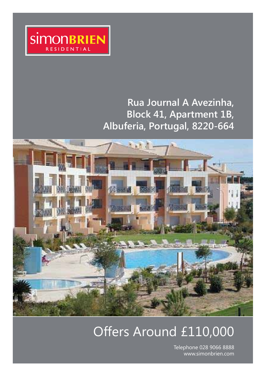

# **Rua Journal A Avezinha, Block 41, Apartment 1B, Albuferia, Portugal, 8220-664**



# Offers Around £110,000

Telephone 028 9066 8888 www.simonbrien.com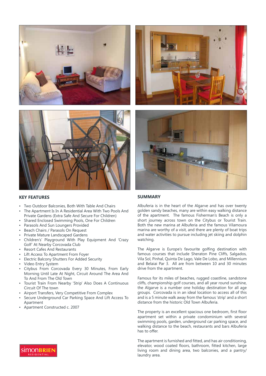





## **KEY FEATURES**

- Two Outdoor Balconies, Both With Table And Chairs
- The Apartment Is In A Residential Area With Two Pools And Private Gardens (Extra Safe And Secure For Children)
- Shared Enclosed Swimming Pools, One For Children
- Parasols And Sun Loungers Provided
- Beach Chairs / Parasols On Request
- Private Mature Landscaped Gardens
- Children's' Playground With Play Equipment And 'Crazy Golf' At Nearby Corcovada Club
- Resort Cafes And Restaurants
- Lift Access To Apartment From Foyer
- Electric Balcony Shutters For Added Security
- Video Entry System
- Citybus From Corcovada Every 30 Minutes, From Early Morning Until Late At Night, Circuit Around The Area And To And From The Old Town
- Tourist Train From Nearby 'Strip' Also Does A Continuous Circuit Of The town
- Airport Transfers, Very Competitive From Complex
- Secure Underground Car Parking Space And Lift Access To Apartment
- Apartment Constructed c. 2007

# **SUMMARY**

Albuferia is in the heart of the Algarve and has over twenty golden sandy beaches, many are within easy walking distance of the apartment. The famous Fisherman's Beach is only a short journey across town on the Citybus or Tourist Train. Both the new marina at Albuferia and the famous Vilamoura marina are worthy of a visit, and there are plenty of boat trips and water activities to pursue including jet skiing and dolphin watching.

The Algarve is Europe's favourite golfing destination with famous courses that include Sheraton Pine Cliffs, Salgados, Vila Sol, Pinhal, Quinta De Lago, Vale De Lobo, and Millennium and Belaiai Par 3. All are from between 10 and 30 minutes drive from the apartment.

Famous for its miles of beaches, rugged coastline, sandstone cliffs, championship golf courses, and all year round sunshine, the Algarve is a number one holiday destination for all age groups. Corcovada is in an ideal location to access all of this and is a 5 minute walk away from the famous 'strip' and a short distance from the historic Old Town Albuferia.

The property is an excellent spacious one bedroom, first floor apartment set within a private condominium with several swimming pools, garden, underground car parking space, and walking distance to the beach, restaurants and bars Albuferia has to offer.

The apartment is furnished and fitted, and has air conditioning, elevator, wood coated floors, bathroom, fitted kitchen, large living room and dining area, two balconies, and a pantry/ laundry area.

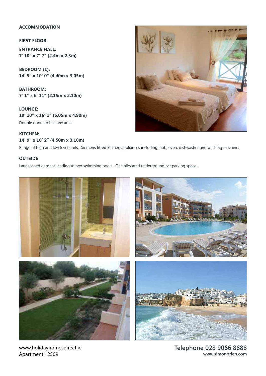# **ACCOMMODATION**

### **FIRST FLOOR**

**ENTRANCE HALL: 7' 10" x 7' 7" (2.4m x 2.3m)** 

**BEDROOM (1): 14' 5" x 10' 0" (4.40m x 3.05m)** 

**BATHROOM: 7' 1" x 6' 11" (2.15m x 2.10m)** 

**LOUNGE: 19' 10" x 16' 1" (6.05m x 4.90m)** 

Double doors to balcony areas.

# **KITCHEN: 14' 9" x 10' 2" (4.50m x 3.10m)**

Range of high and low level units. Siemens fitted kitchen appliances including; hob, oven, dishwasher and washing machine.

## **OUTSIDE**

Landscaped gardens leading to two swimming pools. One allocated underground car parking space.



www.holidayhomesdirect.ie Apartment 12509

**Telephone 028 9066 8888 www.simonbrien.com**